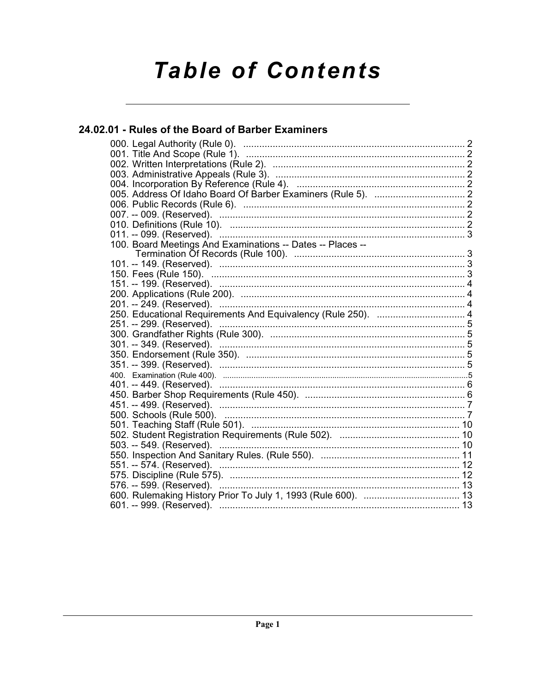# **Table of Contents**

# 24.02.01 - Rules of the Board of Barber Examiners

| 100. Board Meetings And Examinations -- Dates -- Places --   |  |
|--------------------------------------------------------------|--|
|                                                              |  |
|                                                              |  |
|                                                              |  |
|                                                              |  |
|                                                              |  |
|                                                              |  |
| 250. Educational Requirements And Equivalency (Rule 250).  4 |  |
| 251. -- 299. (Reserved).                                     |  |
|                                                              |  |
|                                                              |  |
|                                                              |  |
|                                                              |  |
|                                                              |  |
|                                                              |  |
|                                                              |  |
|                                                              |  |
|                                                              |  |
|                                                              |  |
| 503. -- 549. (Reserved). ………………………………………………………………………… 10     |  |
|                                                              |  |
| 551. -- 574. (Reserved). …………………………………………………………………………… 12    |  |
|                                                              |  |
| 576. -- 599. (Reserved). ………………………………………………………………………… 13     |  |
|                                                              |  |
|                                                              |  |
|                                                              |  |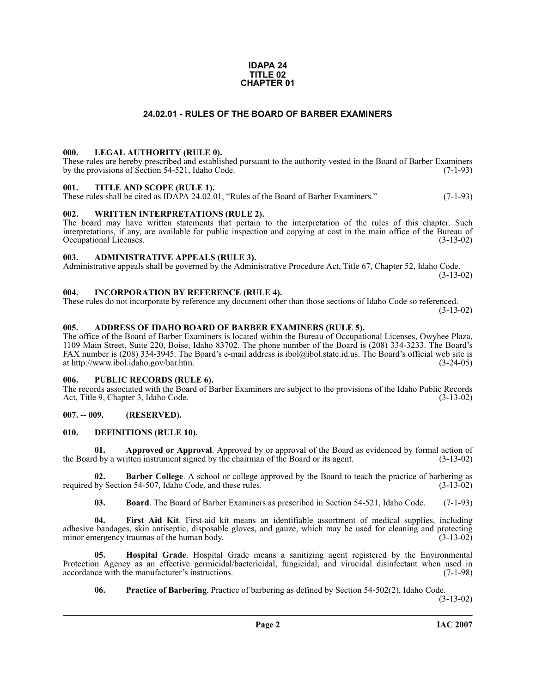#### **IDAPA 24 TITLE 02 CHAPTER 01**

#### **24.02.01 - RULES OF THE BOARD OF BARBER EXAMINERS**

#### <span id="page-1-1"></span><span id="page-1-0"></span>**000. LEGAL AUTHORITY (RULE 0).**

These rules are hereby prescribed and established pursuant to the authority vested in the Board of Barber Examiners by the provisions of Section 54-521, Idaho Code.  $(7-1-93)$ 

#### <span id="page-1-2"></span>**001. TITLE AND SCOPE (RULE 1).**

These rules shall be cited as IDAPA 24.02.01, "Rules of the Board of Barber Examiners." (7-1-93)

#### <span id="page-1-3"></span>**002. WRITTEN INTERPRETATIONS (RULE 2).**

The board may have written statements that pertain to the interpretation of the rules of this chapter. Such interpretations, if any, are available for public inspection and copying at cost in the main office of the Bureau of Occupational Licenses. (3-13-02) Occupational Licenses.

#### <span id="page-1-4"></span>**003. ADMINISTRATIVE APPEALS (RULE 3).**

Administrative appeals shall be governed by the Administrative Procedure Act, Title 67, Chapter 52, Idaho Code. (3-13-02)

<span id="page-1-5"></span>**004. INCORPORATION BY REFERENCE (RULE 4).**

These rules do not incorporate by reference any document other than those sections of Idaho Code so referenced. (3-13-02)

#### <span id="page-1-10"></span><span id="page-1-6"></span>**005. ADDRESS OF IDAHO BOARD OF BARBER EXAMINERS (RULE 5).**

[The office of the Board of Barber Examiners is located within the Bureau of Occupational Licenses, Owyhee Plaza,](http://www.ibol.idaho.gov/bar.htm) 1109 Main Street, Suite 220, Boise, Idaho 83702. The phone number of the Board is (208) 334-3233. The Board's FAX number is (208) 334-3945. The Board's e-mail address is ibol@ibol.state.id.us. The Board's official web site is at http://www.ibol.idaho.gov/bar.htm. (3-24-05)

#### <span id="page-1-7"></span>**006. PUBLIC RECORDS (RULE 6).**

The records associated with the Board of Barber Examiners are subject to the provisions of the Idaho Public Records<br>Act. Title 9. Chapter 3. Idaho Code. (3-13-02) Act, Title 9, Chapter 3, Idaho Code.

#### <span id="page-1-8"></span>**007. -- 009. (RESERVED).**

#### <span id="page-1-12"></span><span id="page-1-9"></span>**010. DEFINITIONS (RULE 10).**

**01. Approved or Approval**. Approved by or approval of the Board as evidenced by formal action of the Board by a written instrument signed by the chairman of the Board or its agent. (3-13-02)

**Barber College**. A school or college approved by the Board to teach the practice of barbering as on 54-507, Idaho Code, and these rules. required by Section 54-507, Idaho Code, and these rules.

<span id="page-1-13"></span><span id="page-1-11"></span>**03. Board**. The Board of Barber Examiners as prescribed in Section 54-521, Idaho Code. (7-1-93)

**04. First Aid Kit**. First-aid kit means an identifiable assortment of medical supplies, including adhesive bandages, skin antiseptic, disposable gloves, and gauze, which may be used for cleaning and protecting minor emergency traumas of the human body. (3-13-02) minor emergency traumas of the human body.

**05. Hospital Grade**. Hospital Grade means a sanitizing agent registered by the Environmental Protection Agency as an effective germicidal/bactericidal, fungicidal, and virucidal disinfectant when used in accordance with the manufacturer's instructions. (7-1-98) accordance with the manufacturer's instructions.

<span id="page-1-15"></span><span id="page-1-14"></span>**06. Practice of Barbering**. Practice of barbering as defined by Section 54-502(2), Idaho Code.

(3-13-02)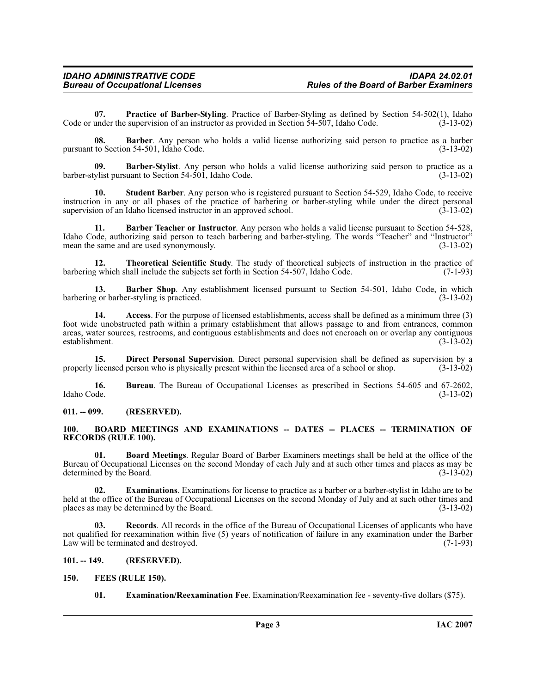<span id="page-2-14"></span>**07. Practice of Barber-Styling**. Practice of Barber-Styling as defined by Section 54-502(1), Idaho under the supervision of an instructor as provided in Section 54-507, Idaho Code. (3-13-02) Code or under the supervision of an instructor as provided in Section 54-507, Idaho Code.

**08. Barber**. Any person who holds a valid license authorizing said person to practice as a barber to Section 54-501, Idaho Code. (3-13-02) pursuant to Section 54-501, Idaho Code.

<span id="page-2-7"></span>**09. Barber-Stylist**. Any person who holds a valid license authorizing said person to practice as a barber-stylist pursuant to Section 54-501, Idaho Code. (3-13-02)

<span id="page-2-16"></span>**10. Student Barber**. Any person who is registered pursuant to Section 54-529, Idaho Code, to receive instruction in any or all phases of the practice of barbering or barber-styling while under the direct personal supervision of an Idaho licensed instructor in an approved school. (3-13-02) supervision of an Idaho licensed instructor in an approved school.

<span id="page-2-6"></span>**11. Barber Teacher or Instructor**. Any person who holds a valid license pursuant to Section 54-528, Idaho Code, authorizing said person to teach barbering and barber-styling. The words "Teacher" and "Instructor" mean the same and are used synonymously. (3-13-02) mean the same and are used synonymously.

<span id="page-2-17"></span>**12. Theoretical Scientific Study**. The study of theoretical subjects of instruction in the practice of practice of provide the subjects set forth in Section 54-507. Idaho Code. (7-1-93) barbering which shall include the subjects set forth in Section 54-507, Idaho Code.

<span id="page-2-5"></span>**13. Barber Shop**. Any establishment licensed pursuant to Section 54-501, Idaho Code, in which g or barber-styling is practiced. (3-13-02) barbering or barber-styling is practiced.

<span id="page-2-4"></span>**14. Access**. For the purpose of licensed establishments, access shall be defined as a minimum three (3) foot wide unobstructed path within a primary establishment that allows passage to and from entrances, common areas, water sources, restrooms, and contiguous establishments and does not encroach on or overlap any contiguous establishment. (3-13-02) establishment.

<span id="page-2-10"></span>**15. Direct Personal Supervision**. Direct personal supervision shall be defined as supervision by a licensed person who is physically present within the licensed area of a school or shop.  $(3-13-02)$ properly licensed person who is physically present within the licensed area of a school or shop.

**16.** Bureau. The Bureau of Occupational Licenses as prescribed in Sections 54-605 and 67-2602, Idaho Code. (3-13-02) Idaho Code. (3-13-02)

<span id="page-2-0"></span>**011. -- 099. (RESERVED).**

#### <span id="page-2-9"></span><span id="page-2-1"></span>**100. BOARD MEETINGS AND EXAMINATIONS -- DATES -- PLACES -- TERMINATION OF RECORDS (RULE 100).**

<span id="page-2-8"></span>**01. Board Meetings**. Regular Board of Barber Examiners meetings shall be held at the office of the Bureau of Occupational Licenses on the second Monday of each July and at such other times and places as may be determined by the Board. (3-13-02)

<span id="page-2-12"></span>**02. Examinations**. Examinations for license to practice as a barber or a barber-stylist in Idaho are to be held at the office of the Bureau of Occupational Licenses on the second Monday of July and at such other times and places as may be determined by the Board. (3-13-02) places as may be determined by the Board.

<span id="page-2-15"></span>**03. Records**. All records in the office of the Bureau of Occupational Licenses of applicants who have not qualified for reexamination within five (5) years of notification of failure in any examination under the Barber<br>(7-1-93) (7-1-93) Law will be terminated and destroyed.

#### <span id="page-2-2"></span>**101. -- 149. (RESERVED).**

#### <span id="page-2-3"></span>**150. FEES (RULE 150).**

<span id="page-2-13"></span><span id="page-2-11"></span>**01. Examination/Reexamination Fee**. Examination/Reexamination fee - seventy-five dollars (\$75).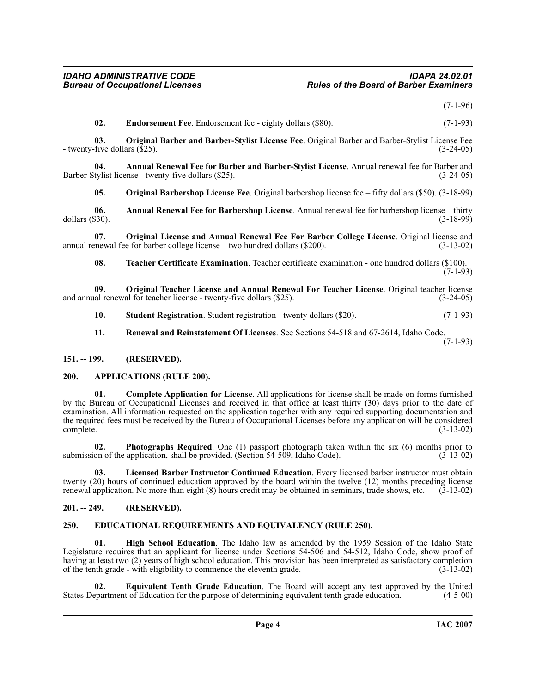(7-1-96)

<span id="page-3-13"></span><span id="page-3-9"></span>**02. Endorsement Fee**. Endorsement fee - eighty dollars (\$80). (7-1-93)

**03. Original Barber and Barber-Stylist License Fee**. Original Barber and Barber-Stylist License Fee - twenty-five dollars (\$25). (3-24-05)

**04. Annual Renewal Fee for Barber and Barber-Stylist License**. Annual renewal fee for Barber and Barber-Stylist license - twenty-five dollars (\$25).

<span id="page-3-14"></span><span id="page-3-5"></span><span id="page-3-4"></span>**05. Original Barbershop License Fee**. Original barbershop license fee – fifty dollars (\$50). (3-18-99)

**06.** Annual Renewal Fee for Barbershop License. Annual renewal fee for barbershop license – thirty dollars (\$30). (3-18-99) dollars (\$30). (3-18-99)

**07. Original License and Annual Renewal Fee For Barber College License**. Original license and newal fee for barber college license – two hundred dollars (\$200). (3-13-02) annual renewal fee for barber college license – two hundred dollars  $(\$200)$ .

<span id="page-3-20"></span><span id="page-3-16"></span><span id="page-3-15"></span>**08. Teacher Certificate Examination**. Teacher certificate examination - one hundred dollars (\$100).  $(7-1-93)$ 

**09. Original Teacher License and Annual Renewal For Teacher License**. Original teacher license and annual renewal for teacher license - twenty-five dollars (\$25).

- <span id="page-3-19"></span>**10. Student Registration**. Student registration - twenty dollars (\$20). (7-1-93)
- <span id="page-3-18"></span><span id="page-3-7"></span>**11. Renewal and Reinstatement Of Licenses**. See Sections 54-518 and 67-2614, Idaho Code.

(7-1-93)

#### <span id="page-3-0"></span>**151. -- 199. (RESERVED).**

#### <span id="page-3-6"></span><span id="page-3-1"></span>**200. APPLICATIONS (RULE 200).**

**01. Complete Application for License**. All applications for license shall be made on forms furnished by the Bureau of Occupational Licenses and received in that office at least thirty (30) days prior to the date of examination. All information requested on the application together with any required supporting documentation and the required fees must be received by the Bureau of Occupational Licenses before any application will be considered complete. (3-13-02) complete. (3-13-02)

<span id="page-3-17"></span>**02. Photographs Required**. One (1) passport photograph taken within the six (6) months prior to on of the application, shall be provided. (Section 54-509, Idaho Code). (3-13-02) submission of the application, shall be provided. (Section  $54-509$ , Idaho Code).

<span id="page-3-12"></span>**03. Licensed Barber Instructor Continued Education**. Every licensed barber instructor must obtain twenty (20) hours of continued education approved by the board within the twelve (12) months preceding license renewal application. No more than eight (8) hours credit may be obtained in seminars, trade shows, etc. (3-13-0 renewal application. No more than eight  $(8)$  hours credit may be obtained in seminars, trade shows, etc.

#### <span id="page-3-2"></span>**201. -- 249. (RESERVED).**

#### <span id="page-3-8"></span><span id="page-3-3"></span>**250. EDUCATIONAL REQUIREMENTS AND EQUIVALENCY (RULE 250).**

<span id="page-3-11"></span>**01. High School Education**. The Idaho law as amended by the 1959 Session of the Idaho State Legislature requires that an applicant for license under Sections 54-506 and 54-512, Idaho Code, show proof of having at least two (2) years of high school education. This provision has been interpreted as satisfactory completion of the tenth grade - with eligibility to commence the eleventh grade. (3-13-02)

<span id="page-3-10"></span>**Equivalent Tenth Grade Education**. The Board will accept any test approved by the United tof Education for the purpose of determining equivalent tenth grade education. (4-5-00) States Department of Education for the purpose of determining equivalent tenth grade education.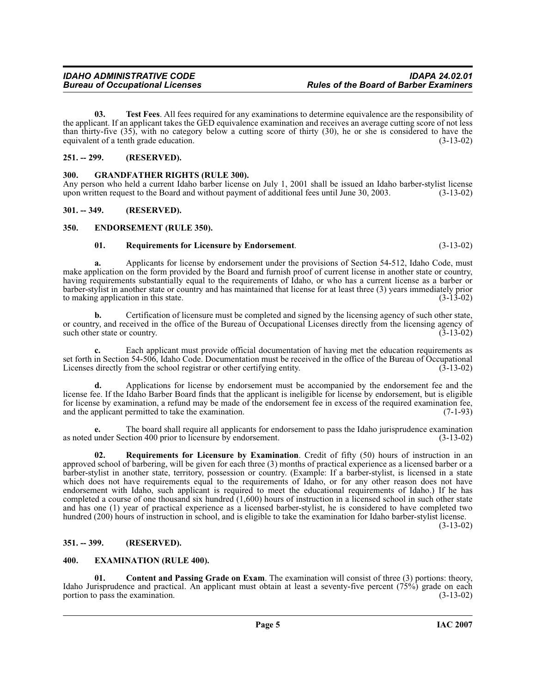<span id="page-4-12"></span>**03. Test Fees**. All fees required for any examinations to determine equivalence are the responsibility of the applicant. If an applicant takes the GED equivalence examination and receives an average cutting score of not less than thirty-five (35), with no category below a cutting score of thirty (30), he or she is considered to have the equivalent of a tenth grade education.  $(3-13-02)$ equivalent of a tenth grade education.

# <span id="page-4-0"></span>**251. -- 299. (RESERVED).**

# <span id="page-4-9"></span><span id="page-4-1"></span>**300. GRANDFATHER RIGHTS (RULE 300).**

Any person who held a current Idaho barber license on July 1, 2001 shall be issued an Idaho barber-stylist license<br>upon written request to the Board and without payment of additional fees until June 30, 2003. (3-13-02) upon written request to the Board and without payment of additional fees until June 30, 2003.

# <span id="page-4-2"></span>**301. -- 349. (RESERVED).**

# <span id="page-4-3"></span>**350. ENDORSEMENT (RULE 350).**

# <span id="page-4-10"></span><span id="page-4-7"></span>**01. Requirements for Licensure by Endorsement**. (3-13-02)

**a.** Applicants for license by endorsement under the provisions of Section 54-512, Idaho Code, must make application on the form provided by the Board and furnish proof of current license in another state or country, having requirements substantially equal to the requirements of Idaho, or who has a current license as a barber or barber-stylist in another state or country and has maintained that license for at least three (3) years immediately prior to making application in this state.

**b.** Certification of licensure must be completed and signed by the licensing agency of such other state, or country, and received in the office of the Bureau of Occupational Licenses directly from the licensing agency of such other state or country. (3-13-02) such other state or country.

**c.** Each applicant must provide official documentation of having met the education requirements as set forth in Section 54-506, Idaho Code. Documentation must be received in the office of the Bureau of Occupational<br>Licenses directly from the school registrar or other certifying entity. (3-13-02) Licenses directly from the school registrar or other certifying entity.

**d.** Applications for license by endorsement must be accompanied by the endorsement fee and the license fee. If the Idaho Barber Board finds that the applicant is ineligible for license by endorsement, but is eligible for license by examination, a refund may be made of the endorsement fee in excess of the required examination fee, and the applicant permitted to take the examination. (7-1-93) and the applicant permitted to take the examination.

**e.** The board shall require all applicants for endorsement to pass the Idaho jurisprudence examination as noted under Section 400 prior to licensure by endorsement. (3-13-02)

<span id="page-4-11"></span>**02. Requirements for Licensure by Examination**. Credit of fifty (50) hours of instruction in an approved school of barbering, will be given for each three (3) months of practical experience as a licensed barber or a barber-stylist in another state, territory, possession or country. (Example: If a barber-stylist, is licensed in a state which does not have requirements equal to the requirements of Idaho, or for any other reason does not have endorsement with Idaho, such applicant is required to meet the educational requirements of Idaho.) If he has completed a course of one thousand six hundred (1,600) hours of instruction in a licensed school in such other state and has one (1) year of practical experience as a licensed barber-stylist, he is considered to have completed two hundred (200) hours of instruction in school, and is eligible to take the examination for Idaho barber-stylist license.

(3-13-02)

# <span id="page-4-4"></span>**351. -- 399. (RESERVED).**

# <span id="page-4-8"></span><span id="page-4-5"></span>**400. EXAMINATION (RULE 400).**

<span id="page-4-6"></span>**01.** Content and Passing Grade on Exam. The examination will consist of three (3) portions: theory, Idaho Jurisprudence and practical. An applicant must obtain at least a seventy-five percent  $(75\%)$  grade on each portion to pass the examination.  $(3-13-02)$ portion to pass the examination.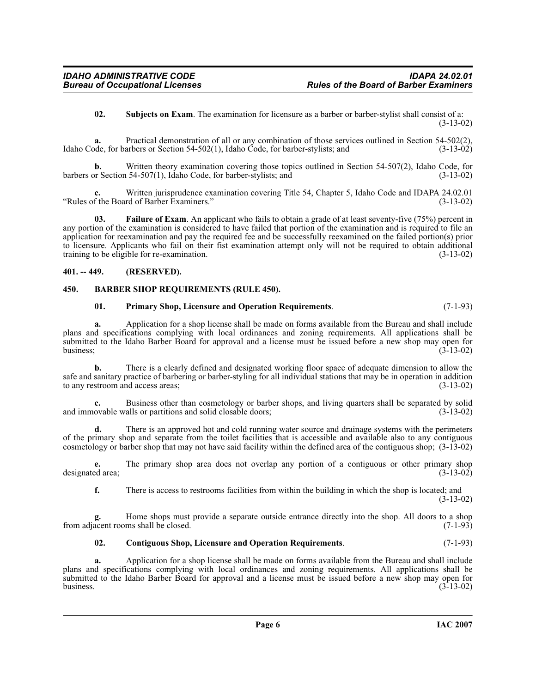<span id="page-5-6"></span>**02. Subjects on Exam**. The examination for licensure as a barber or barber-stylist shall consist of a: (3-13-02)

**a.** Practical demonstration of all or any combination of those services outlined in Section 54-502(2), Idaho Code, for barbers or Section 54-502(1), Idaho Code, for barber-stylists; and (3-13-02)

**b.** Written theory examination covering those topics outlined in Section 54-507(2), Idaho Code, for barbers or Section 54-507(1), Idaho Code, for barber-stylists; and (3-13-02)

**c.** Written jurisprudence examination covering Title 54, Chapter 5, Idaho Code and IDAPA 24.02.01 f the Board of Barber Examiners." (3-13-02) "Rules of the Board of Barber Examiners." (3-13-02)

<span id="page-5-4"></span>**03. Failure of Exam**. An applicant who fails to obtain a grade of at least seventy-five (75%) percent in any portion of the examination is considered to have failed that portion of the examination and is required to file an application for reexamination and pay the required fee and be successfully reexamined on the failed portion(s) prior to licensure. Applicants who fail on their fist examination attempt only will not be required to obtain additional training to be eligible for re-examination. (3-13-02) training to be eligible for re-examination.

#### <span id="page-5-0"></span>**401. -- 449. (RESERVED).**

#### <span id="page-5-1"></span>**450. BARBER SHOP REQUIREMENTS (RULE 450).**

#### <span id="page-5-5"></span><span id="page-5-2"></span>**01. Primary Shop, Licensure and Operation Requirements**. (7-1-93)

**a.** Application for a shop license shall be made on forms available from the Bureau and shall include plans and specifications complying with local ordinances and zoning requirements. All applications shall be submitted to the Idaho Barber Board for approval and a license must be issued before a new shop may open for business: (3-13-02) business;  $(3-13-02)$ 

**b.** There is a clearly defined and designated working floor space of adequate dimension to allow the safe and sanitary practice of barbering or barber-styling for all individual stations that may be in operation in addition to any restroom and access areas; (3-13-02)

**c.** Business other than cosmetology or barber shops, and living quarters shall be separated by solid ovable walls or partitions and solid closable doors; (3-13-02) and immovable walls or partitions and solid closable doors;

**d.** There is an approved hot and cold running water source and drainage systems with the perimeters of the primary shop and separate from the toilet facilities that is accessible and available also to any contiguous cosmetology or barber shop that may not have said facility within the defined area of the contiguous shop; (3-13-02)

**e.** The primary shop area does not overlap any portion of a contiguous or other primary shop designated area; (3-13-02)

**f.** There is access to restrooms facilities from within the building in which the shop is located; and (3-13-02)

**g.** Home shops must provide a separate outside entrance directly into the shop. All doors to a shop from adjacent rooms shall be closed. (7-1-93)

#### <span id="page-5-3"></span>**02. Contiguous Shop, Licensure and Operation Requirements**. (7-1-93)

**a.** Application for a shop license shall be made on forms available from the Bureau and shall include plans and specifications complying with local ordinances and zoning requirements. All applications shall be submitted to the Idaho Barber Board for approval and a license must be issued before a new shop may open for business. (3-13-02) business.  $(3-13-02)$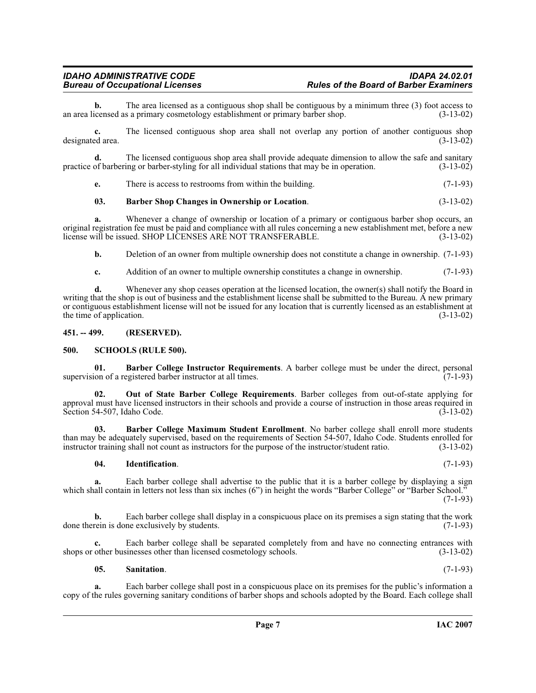**b.** The area licensed as a contiguous shop shall be contiguous by a minimum three (3) foot access to icensed as a primary cosmetology establishment or primary barber shop.  $(3-13-02)$ an area licensed as a primary cosmetology establishment or primary barber shop.

**c.** The licensed contiguous shop area shall not overlap any portion of another contiguous shop ed area.  $(3-13-02)$ designated area.

**d.** The licensed contiguous shop area shall provide adequate dimension to allow the safe and sanitary of barbering or barber-styling for all individual stations that may be in operation. (3-13-02) practice of barbering or barber-styling for all individual stations that may be in operation.

**e.** There is access to restrooms from within the building. (7-1-93)

#### <span id="page-6-4"></span>**03. Barber Shop Changes in Ownership or Location**. (3-13-02)

Whenever a change of ownership or location of a primary or contiguous barber shop occurs, an original registration fee must be paid and compliance with all rules concerning a new establishment met, before a new license will be issued. SHOP LICENSES ARE NOT TRANSFERABLE. (3-13-02)

**b.** Deletion of an owner from multiple ownership does not constitute a change in ownership.  $(7-1-93)$ 

**c.** Addition of an owner to multiple ownership constitutes a change in ownership. (7-1-93)

**d.** Whenever any shop ceases operation at the licensed location, the owner(s) shall notify the Board in writing that the shop is out of business and the establishment license shall be submitted to the Bureau. A new primary or contiguous establishment license will not be issued for any location that is currently licensed as an establishment at the time of application.  $(3-13-02)$ 

#### <span id="page-6-0"></span>**451. -- 499. (RESERVED).**

#### <span id="page-6-8"></span><span id="page-6-1"></span>**500. SCHOOLS (RULE 500).**

<span id="page-6-2"></span>**01. Barber College Instructor Requirements**. A barber college must be under the direct, personal ion of a registered barber instructor at all times. (7-1-93) supervision of a registered barber instructor at all times.

<span id="page-6-6"></span>**02. Out of State Barber College Requirements**. Barber colleges from out-of-state applying for approval must have licensed instructors in their schools and provide a course of instruction in those areas required in Section 54-507, Idaho Code. (3-13-02) Section 54-507, Idaho Code.

**03. Barber College Maximum Student Enrollment**. No barber college shall enroll more students than may be adequately supervised, based on the requirements of Section 54-507, Idaho Code. Students enrolled for instructor training shall not count as instructors for the purpose of the instructor/student ratio. (3-13-02 instructor training shall not count as instructors for the purpose of the instructor/student ratio.

#### <span id="page-6-5"></span><span id="page-6-3"></span>**04. Identification**. (7-1-93)

**a.** Each barber college shall advertise to the public that it is a barber college by displaying a sign which shall contain in letters not less than six inches (6") in height the words "Barber College" or "Barber School." (7-1-93)

**b.** Each barber college shall display in a conspicuous place on its premises a sign stating that the work done therein is done exclusively by students. (7-1-93)

**c.** Each barber college shall be separated completely from and have no connecting entrances with shops or other businesses other than licensed cosmetology schools. (3-13-02)

<span id="page-6-7"></span>**05. Sanitation**. (7-1-93)

**a.** Each barber college shall post in a conspicuous place on its premises for the public's information a copy of the rules governing sanitary conditions of barber shops and schools adopted by the Board. Each college shall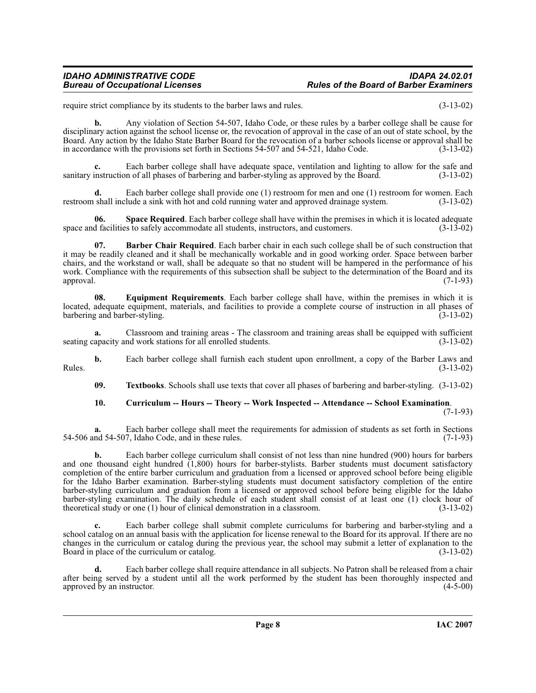#### *IDAHO ADMINISTRATIVE CODE IDAPA 24.02.01 Rules of the Board of Barber Examiners*

require strict compliance by its students to the barber laws and rules. (3-13-02)

**b.** Any violation of Section 54-507, Idaho Code, or these rules by a barber college shall be cause for disciplinary action against the school license or, the revocation of approval in the case of an out of state school, by the Board. Any action by the Idaho State Barber Board for the revocation of a barber schools license or approval shall be in accordance with the provisions set forth in Sections 54-507 and 54-521, Idaho Code. (3-13-02)

**c.** Each barber college shall have adequate space, ventilation and lighting to allow for the safe and sanitary instruction of all phases of barbering and barber-styling as approved by the Board. (3-13-02)

**d.** Each barber college shall provide one (1) restroom for men and one (1) restroom for women. Each shall include a sink with hot and cold running water and approved drainage system. (3-13-02) restroom shall include a sink with hot and cold running water and approved drainage system.

<span id="page-7-3"></span>**06. Space Required**. Each barber college shall have within the premises in which it is located adequate space and facilities to safely accommodate all students, instructors, and customers. (3-13-02)

<span id="page-7-0"></span>**07. Barber Chair Required**. Each barber chair in each such college shall be of such construction that it may be readily cleaned and it shall be mechanically workable and in good working order. Space between barber chairs, and the workstand or wall, shall be adequate so that no student will be hampered in the performance of his work. Compliance with the requirements of this subsection shall be subject to the determination of the Board and its approval. (7-1-93)

<span id="page-7-2"></span>**08. Equipment Requirements**. Each barber college shall have, within the premises in which it is located, adequate equipment, materials, and facilities to provide a complete course of instruction in all phases of barbering and barber-styling. (3-13-02)

**a.** Classroom and training areas - The classroom and training areas shall be equipped with sufficient seating capacity and work stations for all enrolled students. (3-13-02)

**b.** Each barber college shall furnish each student upon enrollment, a copy of the Barber Laws and (3-13-02) Rules. (3-13-02)

<span id="page-7-4"></span>**09. Textbooks**. Schools shall use texts that cover all phases of barbering and barber-styling. (3-13-02)

#### <span id="page-7-1"></span>**10. Curriculum -- Hours -- Theory -- Work Inspected -- Attendance -- School Examination**.

(7-1-93)

**a.** Each barber college shall meet the requirements for admission of students as set forth in Sections 54-506 and 54-507, Idaho Code, and in these rules. (7-1-93)

**b.** Each barber college curriculum shall consist of not less than nine hundred (900) hours for barbers and one thousand eight hundred (1,800) hours for barber-stylists. Barber students must document satisfactory completion of the entire barber curriculum and graduation from a licensed or approved school before being eligible for the Idaho Barber examination. Barber-styling students must document satisfactory completion of the entire barber-styling curriculum and graduation from a licensed or approved school before being eligible for the Idaho barber-styling examination. The daily schedule of each student shall consist of at least one (1) clock hour of theoretical study or one (1) hour of clinical demonstration in a classroom.  $(3-13-02)$ theoretical study or one  $(1)$  hour of clinical demonstration in a classroom.

**c.** Each barber college shall submit complete curriculums for barbering and barber-styling and a school catalog on an annual basis with the application for license renewal to the Board for its approval. If there are no changes in the curriculum or catalog during the previous year, the school may submit a letter of explanation to the Board in place of the curriculum or catalog. (3-13-02)

**d.** Each barber college shall require attendance in all subjects. No Patron shall be released from a chair after being served by a student until all the work performed by the student has been thoroughly inspected and approved by an instructor. (4-5-00) approved by an instructor.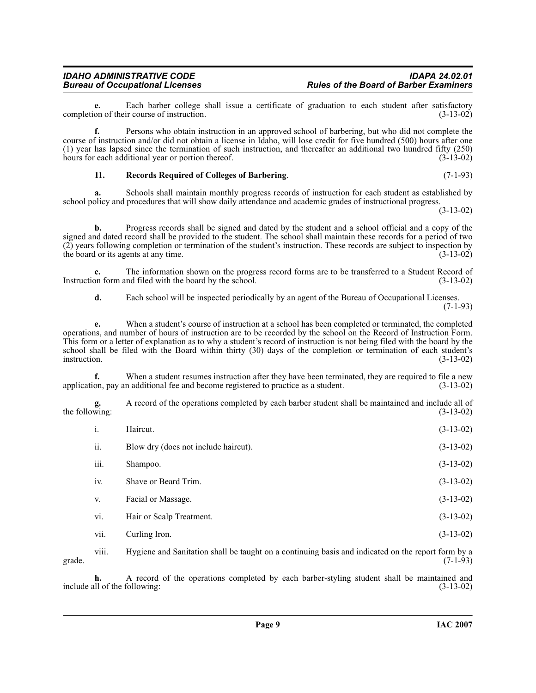**e.** Each barber college shall issue a certificate of graduation to each student after satisfactory on of their course of instruction. (3-13-02) completion of their course of instruction.

**f.** Persons who obtain instruction in an approved school of barbering, but who did not complete the course of instruction and/or did not obtain a license in Idaho, will lose credit for five hundred (500) hours after one (1) year has lapsed since the termination of such instruction, and thereafter an additional two hundred fifty  $(250)$  hours for each additional year or portion thereof.  $(3-13-02)$ hours for each additional year or portion thereof.

#### <span id="page-8-0"></span>**11. Records Required of Colleges of Barbering**. (7-1-93)

**a.** Schools shall maintain monthly progress records of instruction for each student as established by school policy and procedures that will show daily attendance and academic grades of instructional progress.

(3-13-02)

**b.** Progress records shall be signed and dated by the student and a school official and a copy of the signed and dated record shall be provided to the student. The school shall maintain these records for a period of two (2) years following completion or termination of the student's instruction. These records are subject to inspection by the board or its agents at any time. the board or its agents at any time.

**c.** The information shown on the progress record forms are to be transferred to a Student Record of on form and filed with the board by the school. (3-13-02) Instruction form and filed with the board by the school.

**d.** Each school will be inspected periodically by an agent of the Bureau of Occupational Licenses. (7-1-93)

**e.** When a student's course of instruction at a school has been completed or terminated, the completed operations, and number of hours of instruction are to be recorded by the school on the Record of Instruction Form. This form or a letter of explanation as to why a student's record of instruction is not being filed with the board by the school shall be filed with the Board within thirty (30) days of the completion or termination of each student's instruction. (3-13-02) instruction. (3-13-02)

**f.** When a student resumes instruction after they have been terminated, they are required to file a new on, pay an additional fee and become registered to practice as a student. (3-13-02) application, pay an additional fee and become registered to practice as a student.

**g.** A record of the operations completed by each barber student shall be maintained and include all of the following:

| i.   | Haircut.                             | $(3-13-02)$ |
|------|--------------------------------------|-------------|
| ii.  | Blow dry (does not include haircut). | $(3-13-02)$ |
| iii. | Shampoo.                             | $(3-13-02)$ |
| iv.  | Shave or Beard Trim.                 | $(3-13-02)$ |
| V.   | Facial or Massage.                   | $(3-13-02)$ |
| vi.  | Hair or Scalp Treatment.             | $(3-13-02)$ |
| vii. | Curling Iron.                        | $(3-13-02)$ |

viii. Hygiene and Sanitation shall be taught on a continuing basis and indicated on the report form by a grade.  $(7-1-93)$ 

**h.** A record of the operations completed by each barber-styling student shall be maintained and all of the following: (3-13-02) include all of the following: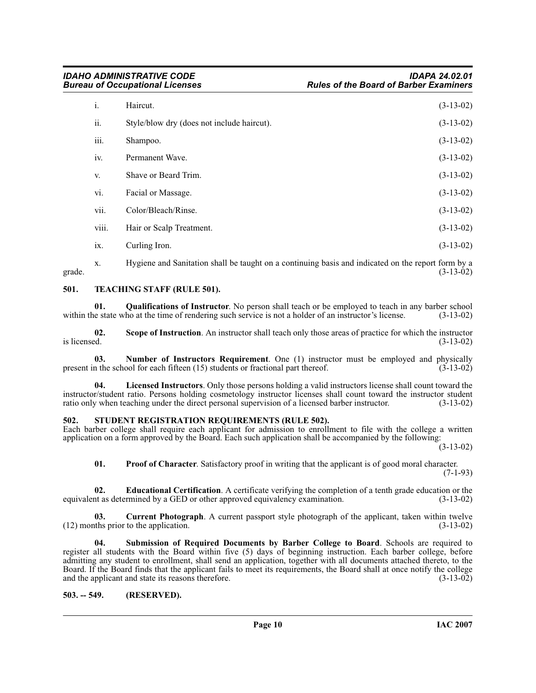| i.    | Haircut.                                   | $(3-13-02)$ |
|-------|--------------------------------------------|-------------|
| ii.   | Style/blow dry (does not include haircut). | $(3-13-02)$ |
| iii.  | Shampoo.                                   | $(3-13-02)$ |
| iv.   | Permanent Wave.                            | $(3-13-02)$ |
| V.    | Shave or Beard Trim.                       | $(3-13-02)$ |
| vi.   | Facial or Massage.                         | $(3-13-02)$ |
| vii.  | Color/Bleach/Rinse.                        | $(3-13-02)$ |
| viii. | Hair or Scalp Treatment.                   | $(3-13-02)$ |
| ix.   | Curling Iron.                              | $(3-13-02)$ |

x. Hygiene and Sanitation shall be taught on a continuing basis and indicated on the report form by a grade.  $(3-13-02)$ 

### <span id="page-9-10"></span><span id="page-9-0"></span>**501. TEACHING STAFF (RULE 501).**

<span id="page-9-7"></span>**01. Qualifications of Instructor**. No person shall teach or be employed to teach in any barber school le state who at the time of rendering such service is not a holder of an instructor's license. (3-13-02) within the state who at the time of rendering such service is not a holder of an instructor's license.

**02.** Scope of Instruction. An instructor shall teach only those areas of practice for which the instructor is licensed.  $(3-13-02)$ is licensed.  $(3-13-02)$ 

<span id="page-9-5"></span>**03. Number of Instructors Requirement**. One (1) instructor must be employed and physically in the school for each fifteen (15) students or fractional part thereof. (3-13-02) present in the school for each fifteen  $(15)$  students or fractional part thereof.

**04. Licensed Instructors**. Only those persons holding a valid instructors license shall count toward the instructor/student ratio. Persons holding cosmetology instructor licenses shall count toward the instructor student ratio only when teaching under the direct personal supervision of a licensed barber instructor.

#### <span id="page-9-8"></span><span id="page-9-1"></span>**502. STUDENT REGISTRATION REQUIREMENTS (RULE 502).**

Each barber college shall require each applicant for admission to enrollment to file with the college a written application on a form approved by the Board. Each such application shall be accompanied by the following:

 $(3-13-02)$ 

<span id="page-9-6"></span><span id="page-9-4"></span><span id="page-9-3"></span>**01. Proof of Character**. Satisfactory proof in writing that the applicant is of good moral character. (7-1-93)

**02. Educational Certification**. A certificate verifying the completion of a tenth grade education or the nt as determined by a GED or other approved equivalency examination. (3-13-02) equivalent as determined by a GED or other approved equivalency examination.

**03. Current Photograph**. A current passport style photograph of the applicant, taken within twelve (12) months prior to the application. (3-13-02)

<span id="page-9-9"></span>**04. Submission of Required Documents by Barber College to Board**. Schools are required to register all students with the Board within five (5) days of beginning instruction. Each barber college, before admitting any student to enrollment, shall send an application, together with all documents attached thereto, to the Board. If the Board finds that the applicant fails to meet its requirements, the Board shall at once notify the college and the applicant and state its reasons therefore. (3-13-02) and the applicant and state its reasons therefore.

#### <span id="page-9-2"></span>**503. -- 549. (RESERVED).**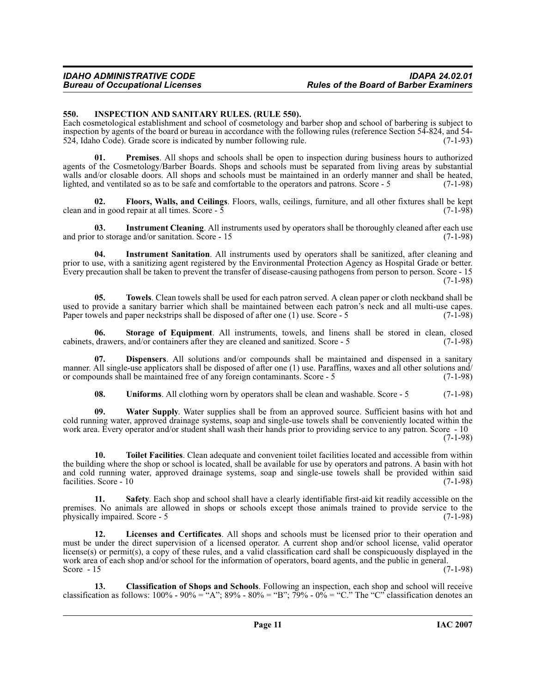#### <span id="page-10-1"></span><span id="page-10-0"></span>**550. INSPECTION AND SANITARY RULES. (RULE 550).**

Each cosmetological establishment and school of cosmetology and barber shop and school of barbering is subject to inspection by agents of the board or bureau in accordance with the following rules (reference Section 54-824, and 54-<br>524, Idaho Code). Grade score is indicated by number following rule. (7-1-93) 524, Idaho Code). Grade score is indicated by number following rule.

<span id="page-10-2"></span>**01. Premises**. All shops and schools shall be open to inspection during business hours to authorized agents of the Cosmetology/Barber Boards. Shops and schools must be separated from living areas by substantial walls and/or closable doors. All shops and schools must be maintained in an orderly manner and shall be heated, lighted, and ventilated so as to be safe and comfortable to the operators and patrons. Score - 5 (7-1-98)

**02.** Floors, Walls, and Ceilings. Floors, walls, ceilings, furniture, and all other fixtures shall be kept in good repair at all times. Score - 5 clean and in good repair at all times. Score  $-5$ 

**03.** Instrument Cleaning. All instruments used by operators shall be thoroughly cleaned after each use to storage and/or sanitation. Score - 15 (7-1-98) and prior to storage and/or sanitation. Score  $-15$ 

**04. Instrument Sanitation**. All instruments used by operators shall be sanitized, after cleaning and prior to use, with a sanitizing agent registered by the Environmental Protection Agency as Hospital Grade or better. Every precaution shall be taken to prevent the transfer of disease-causing pathogens from person to person. Score - 15 (7-1-98)

**05. Towels**. Clean towels shall be used for each patron served. A clean paper or cloth neckband shall be used to provide a sanitary barrier which shall be maintained between each patron's neck and all multi-use capes. Paper towels and paper neckstrips shall be disposed of after one (1) use. Score - 5 (7-1-98)

**06. Storage of Equipment**. All instruments, towels, and linens shall be stored in clean, closed cabinets, drawers, and/or containers after they are cleaned and sanitized. Score - 5 (7-1-98)

**07. Dispensers**. All solutions and/or compounds shall be maintained and dispensed in a sanitary manner. All single-use applicators shall be disposed of after one (1) use. Paraffins, waxes and all other solutions and/ or compounds shall be maintained free of any foreign contaminants. Score - 5 (7-1-98) or compounds shall be maintained free of any foreign contaminants. Score - 5

**08.** Uniforms. All clothing worn by operators shall be clean and washable. Score - 5 (7-1-98)

**09. Water Supply**. Water supplies shall be from an approved source. Sufficient basins with hot and cold running water, approved drainage systems, soap and single-use towels shall be conveniently located within the work area. Every operator and/or student shall wash their hands prior to providing service to any patron. Score - 10

(7-1-98)

**10. Toilet Facilities**. Clean adequate and convenient toilet facilities located and accessible from within the building where the shop or school is located, shall be available for use by operators and patrons. A basin with hot and cold running water, approved drainage systems, soap and single-use towels shall be provided within said facilities. Score - 10 (7-1-98) facilities. Score - 10

**11. Safety**. Each shop and school shall have a clearly identifiable first-aid kit readily accessible on the premises. No animals are allowed in shops or schools except those animals trained to provide service to the physically impaired. Score - 5 (7-1-98)

**12. Licenses and Certificates**. All shops and schools must be licensed prior to their operation and must be under the direct supervision of a licensed operator. A current shop and/or school license, valid operator license(s) or permit(s), a copy of these rules, and a valid classification card shall be conspicuously displayed in the work area of each shop and/or school for the information of operators, board agents, and the public in general.<br>Score - 15 (7-1-98) Score  $-15$  (7-1-98)

**13. Classification of Shops and Schools**. Following an inspection, each shop and school will receive classification as follows:  $100\% - 90\% = (A^{\prime\prime}, B^{\prime\prime}) - 80\% = (B^{\prime\prime}, \bar{7})\% - 0\% = (C^{\prime\prime}, \bar{T})$  The "C" classification denotes an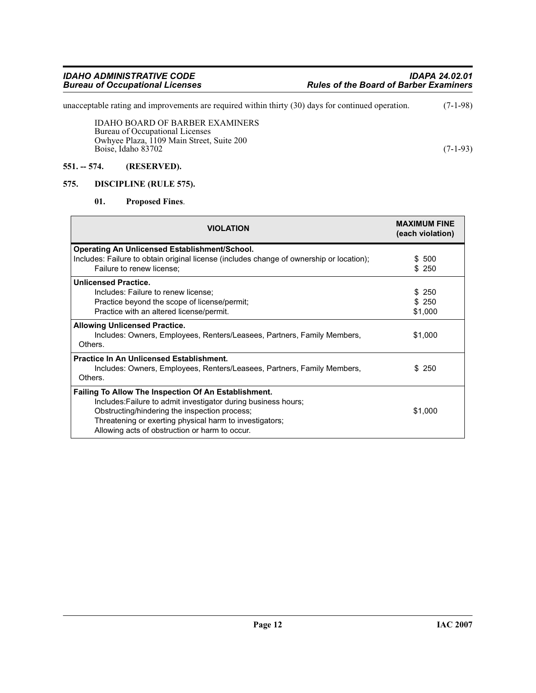unacceptable rating and improvements are required within thirty (30) days for continued operation. (7-1-98)

IDAHO BOARD OF BARBER EXAMINERS Bureau of Occupational Licenses Owhyee Plaza, 1109 Main Street, Suite 200 Boise, Idaho 83702 (7-1-93)

#### <span id="page-11-0"></span>**551. -- 574. (RESERVED).**

### <span id="page-11-1"></span>**575. DISCIPLINE (RULE 575).**

#### <span id="page-11-3"></span><span id="page-11-2"></span>**01. Proposed Fines**.

| <b>VIOLATION</b>                                                                                                                                                                                                                                                                     | <b>MAXIMUM FINE</b><br>(each violation) |
|--------------------------------------------------------------------------------------------------------------------------------------------------------------------------------------------------------------------------------------------------------------------------------------|-----------------------------------------|
| <b>Operating An Unlicensed Establishment/School.</b>                                                                                                                                                                                                                                 |                                         |
| Includes: Failure to obtain original license (includes change of ownership or location);                                                                                                                                                                                             | \$ 500                                  |
| Failure to renew license:                                                                                                                                                                                                                                                            | \$250                                   |
| <b>Unlicensed Practice.</b>                                                                                                                                                                                                                                                          |                                         |
| Includes: Failure to renew license:                                                                                                                                                                                                                                                  | \$ 250                                  |
| Practice beyond the scope of license/permit;                                                                                                                                                                                                                                         | \$ 250                                  |
| Practice with an altered license/permit.                                                                                                                                                                                                                                             | \$1,000                                 |
| <b>Allowing Unlicensed Practice.</b><br>Includes: Owners, Employees, Renters/Leasees, Partners, Family Members,<br>Others.                                                                                                                                                           | \$1,000                                 |
| <b>Practice In An Unlicensed Establishment.</b><br>Includes: Owners, Employees, Renters/Leasees, Partners, Family Members,<br>Others.                                                                                                                                                | \$ 250                                  |
| Failing To Allow The Inspection Of An Establishment.<br>Includes: Failure to admit investigator during business hours;<br>Obstructing/hindering the inspection process;<br>Threatening or exerting physical harm to investigators;<br>Allowing acts of obstruction or harm to occur. | \$1,000                                 |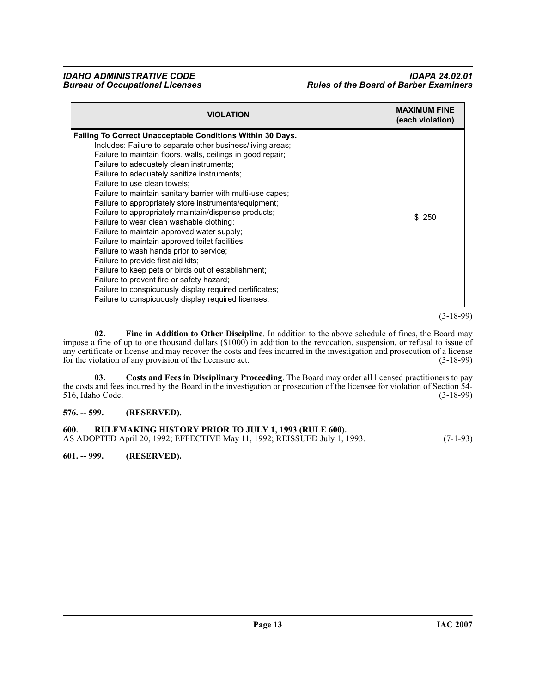| <b>VIOLATION</b>                                                                                                                                                                                                                                                                                                                                                                                                                                                                                                                                                                                                                                                                                                                                                                                                                                                                                                                                             | <b>MAXIMUM FINE</b><br>(each violation) |
|--------------------------------------------------------------------------------------------------------------------------------------------------------------------------------------------------------------------------------------------------------------------------------------------------------------------------------------------------------------------------------------------------------------------------------------------------------------------------------------------------------------------------------------------------------------------------------------------------------------------------------------------------------------------------------------------------------------------------------------------------------------------------------------------------------------------------------------------------------------------------------------------------------------------------------------------------------------|-----------------------------------------|
| <b>Failing To Correct Unacceptable Conditions Within 30 Days.</b><br>Includes: Failure to separate other business/living areas;<br>Failure to maintain floors, walls, ceilings in good repair;<br>Failure to adequately clean instruments;<br>Failure to adequately sanitize instruments;<br>Failure to use clean towels:<br>Failure to maintain sanitary barrier with multi-use capes;<br>Failure to appropriately store instruments/equipment;<br>Failure to appropriately maintain/dispense products;<br>Failure to wear clean washable clothing;<br>Failure to maintain approved water supply;<br>Failure to maintain approved toilet facilities;<br>Failure to wash hands prior to service;<br>Failure to provide first aid kits;<br>Failure to keep pets or birds out of establishment;<br>Failure to prevent fire or safety hazard;<br>Failure to conspicuously display required certificates;<br>Failure to conspicuously display required licenses. | \$ 250                                  |

#### (3-18-99)

<span id="page-12-4"></span>**02. Fine in Addition to Other Discipline**. In addition to the above schedule of fines, the Board may impose a fine of up to one thousand dollars (\$1000) in addition to the revocation, suspension, or refusal to issue of any certificate or license and may recover the costs and fees incurred in the investigation and prosecution of a license<br>for the violation of any provision of the licensure act. (3-18-99) for the violation of any provision of the licensure act.

<span id="page-12-3"></span>**03. Costs and Fees in Disciplinary Proceeding**. The Board may order all licensed practitioners to pay the costs and fees incurred by the Board in the investigation or prosecution of the licensee for violation of Section 54-<br>516, Idaho Code. (3-18-99) 516, Idaho Code.

#### <span id="page-12-0"></span>**576. -- 599. (RESERVED).**

<span id="page-12-1"></span>

| 600. | <b>RULEMAKING HISTORY PRIOR TO JULY 1, 1993 (RULE 600).</b>               |            |
|------|---------------------------------------------------------------------------|------------|
|      | AS ADOPTED April 20, 1992; EFFECTIVE May 11, 1992; REISSUED July 1, 1993. | $(7-1-93)$ |

<span id="page-12-2"></span>**601. -- 999. (RESERVED).**